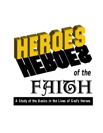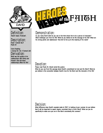

# Defi

**'David' means 'Beloved'.**

## Description:

**Read I Samuel 16,17 Psalm 19**

**Extra Reading: I Samuel 16-30, II Samuel (all)**

#### Derivation:

**What was the quality of his relationships with family and friends? How did these relationships affect his life?**

# FAIGH

## Demonstration:

**As you study David what do you see in him that shows him to be a person of character? What challenges you from his life? What do you believe to be the message of his life? What are his strong points and weaknesses? How did he live up to the meaning of his name?**

## Devotion:

**Please read Psalm 19. (David wrote this psalm.)**

**What do you see from this passage about David's commitment to God and His Word? What do you believe is the connection between David's love for the Word and the character of his life?**

# Decision:

**What difference does David's example make to YOU? In looking at your summer do you believe that it will be important to spend regular consistent time in God's Word? What can you do specifically to make sure you are in the Word consistently this summer?**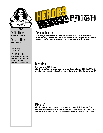

#### Definition: **'Mary' means 'Strength'.**

#### Description: **Read Luke 10:38-42**

**Extra Reading:**

#### **John 11, 12:1-8** Derivation:

**What was the quality of her relationships with family and friends? How did these relationships affect her life?**



## Demonstration:

**As you study Mary what do you see in her that shows her to be a person of character? What challenges you from her life? What do you believe to be the message of her life? What are her strong points and weaknesses? How did she live up to the meaning of her name?**

## Devotion:

**Please read Luke 10:38-42 again.**

**What do you see from this passage about Mary's commitment to Jesus and His Word? What do you believe is the connection between Mary's love for Jesus' Word and the character of her life?**

## Decision:

**What difference does Mary's example make to YOU? What do you think will keep you from spending time in God's Word this summer? How can you be like Mary and choose what is most important (to sit at Jesus' feet and listen) above all the other good things you could be doing?**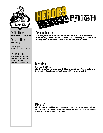

**'Daniel' means 'God has judged'.**

#### Description: **Read Daniel 1, 2,6**

**Extra Reading: Daniel 1-12; Ezekiel 14:14; 28:3**

## Derivation:

**What was the quality of his relationships with family and friends? How did these relationships affect his life?**



## Demonstration:

**As you study Daniel what do you see in him that shows him to be a person of character? What challenges you from his life? What do you believe to be the message of his life? What are his strong points and weaknesses? How did he live up to the meaning of his name?**

## Devotion:

**Please read Daniel 6 again.**

**What do you see from this passage about Daniel's commitment to pray? What do you believe is the connection between Daniel's devotion to prayer and the character of his life?**

## Decision:

**What difference does Daniel's example make to YOU? In looking at your summer do you believe that it will be important to spend regular consistent time in prayer? What can you do specifically to make sure you pray consistently this summer?**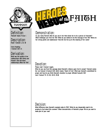

#### **Definit 'Hannah' means 'Grace '.**

#### Description: **Read I Samuel 1, 2:1-10**

**Extra Reading: I Samuel 2:18-21**

# Derivation:

**What was the quality of her relationships with family and friends? How did these relationships affect her life?**



## Demonstration:

**As you study Hannah what do you see in her that shows her to be a person of character? What challenges you from her life? What do you believe to be the message of her life? What are her strong points and weaknesses? How did she live up to the meaning of her name?**

## Devotion:

**Please read I Samuel 1 again.**

**What do you see from this passage about Hannah's reliance upon God in prayer? Hannah names her son Samuel (1 Samuel 1:20) which means 'Heard of God'. What was Samuel's commitment to prayer and how do you think Hannah's devotion to prayer affected Samuel's life? (see I Samuel 7:5-8; 8:6; 12:23; 15:11)**

## Decision:

**What difference does Hannah's example make to YOU? What do you desperately need to be praying to God about this summer? What characteristics of Hannah's prayer life do you want to make part of your own?**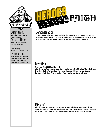

**'Barnabas' means 'Son of Encouragement'.**

#### escription:

**Read Acts 4:36,37; 9:26,27; 11:19-26; 15:36-41**

**Extra Reading: Acts 13-15; Colossians 4:10**

#### Derivation:

**What was the quality of his relationships with family and friends? How did these relationships affect his life?**



#### Demonstration:

**As you study Barnabas what do you see in him that shows him to be a person of character? What challenges you from his life? What do you believe to be the message of his life? What are his strong points and weaknesses? How did he live up to the meaning of his name?**

## Devotion:

**Please read Acts 9:26,27 and 15:36-41.**

**What do you see from these passages about Barnabas' commitment to others? Paul (Saul) wrote 13 books in the New Testament and Mark wrote the gospel of Mark; how important was Barnabas in their lives? What do you learn from Barnabas' devotion to fellowship?**

## Decision:

**What difference does Barnabas' example make to YOU? In looking at your summer do you believe that it will be important to spend regular consistent time with other believers? What can you do specifically to make sure you fellowship with those who follow Jesus this summer?**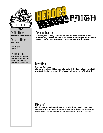

**'Ruth' means 'female companion'.**

# Description:

**Read Ruth 1-4**

**Extra Reading: Matthew 1:5**

## Derivation:

**What was the quality of her relationships with family and friends? How did these relationships affect her life?**



## Demonstration:

**As you study Ruth what do you see in her that shows her to be a person of character? What challenges you from her life? What do you believe to be the message of her life? What are her strong points and weaknesses? How did she live up to the meaning of her name?**

## Devotion:

**Please read Ruth 1 again.**

**What kind of commitment did Ruth make to her mother-in-law Naomi? Why did she make this commitment? How did God reward Ruth's faithfulness to Naomi and to Him? (see Ruth 2-4)**

# Decision:

**What difference does Ruth's example make to YOU? What do you think will keep you from spending time with God's people this summer? How can you be like Ruth and choose to meet with followers of Jesus even though it may cost you something? (What did it cost Ruth?)**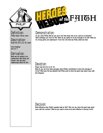

#### Definition: **'Philip' means 'Horse-lover'.**

## Description:

**Read Acts 8:1-8, 26-40; 21:8,9**

**Extra Reading: Acts 6:1-7**

## Derivation:

**What was the quality of his relationships with family and friends? How did these relationships affect his life?**



## Demonstration:

**As you study Phillip what do you see in him that shows him to be a person of character? What challenges you from his life? What do you believe to be the message of his life? What are his strong points and weaknesses? From Acts 21:8 what was Philip called and why?**

## Devotion:

**Please read Acts 8:1-8; 26-40**

**What do you see from these passages about Philip's commitment to share the message of Christ? What were the key elements that Philip used to share the good news about Jesus with the Ethiopian?**

## Decision:

**What difference does Philip's example make to YOU? Who can you share the good news about Jesus with this summer? What do you need to know to be more effective in sharing Christ?**